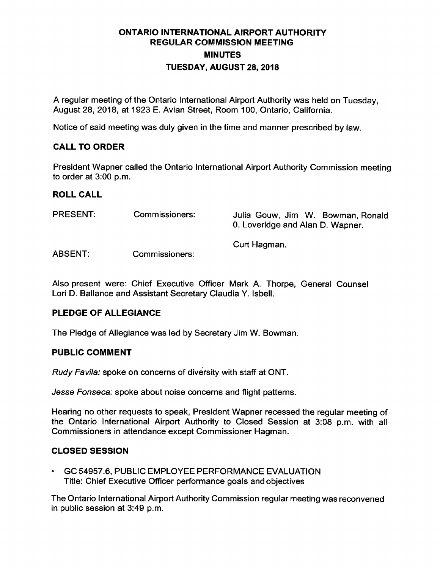# ONTARIO INTERNATIONAL AIRPORT AUTHORITY REGULAR COMMISSION MEETING **MINUTES** TUESDAY, AUGUST 28, 2018

A regular meeting of the Ontario International Airport Authority was held on Tuesday, August 28, 2018, at 1923 E. Avian Street, Room 100, Ontario, California.

Notice of said meeting was duly given in the time and manner prescribed by law.

# CALL TO ORDER

President Wapner called the Ontario International Airport Authority Commission meeting to order at 3:00 p.m.

### ROLL CALL

| <b>PRESENT:</b> | Commissioners: | Julia Gouw, Jim W. Bowman, Ronald<br>0. Loveridge and Alan D. Wapner. |
|-----------------|----------------|-----------------------------------------------------------------------|
| <b>ABSENT:</b>  | Commissioners: | Curt Hagman.                                                          |

Also present were: Chief Executive Officer Mark A. Thorpe, General Counsel Lori D. Ballance and Assistant Secretary Claudia Y. Isbell.

### PLEDGE OF ALLEGIANCE

The Pledge of Allegiance was led by Secretary Jim W. Bowman.

### PUBLIC COMMENT

Rudy Favila: spoke on concerns of diversity with staff at ONT.

Jesse Fonseca: spoke about noise concerns and flight patterns.

Hearing no other requests to speak, President Wapner recessed the regular meeting of the Ontario International Airport Authority to Closed Session at 3:08 p.m. with all Commissioners in attendance except Commissioner Hagman.

### CLOSED SESSION

GC 54957. 6, PUBLIC EMPLOYEE PERFORMANCE EVALUATION Title: Chief Executive Officer performance goals and objectives

The Ontario International Airport Authority Commission regular meeting was reconvened in public session at 3:49 p.m.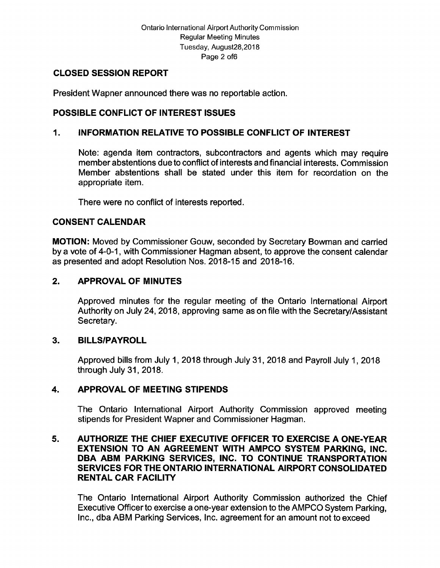### CLOSED SESSION REPORT

President Wapner announced there was no reportable action.

# POSSIBLE CONFLICT OF INTEREST ISSUES

### 1. INFORMATION RELATIVE TO POSSIBLE CONFLICT OF INTEREST

Note: agenda item contractors, subcontractors and agents which may require member abstentions due to conflict of interests and financial interests. Commission Member abstentions shall be stated under this item for recordation on the appropriate item.

There were no conflict of interests reported.

## CONSENT CALENDAR

MOTION: Moved by Commissioner Gouw, seconded by Secretary Bowman and carried by a vote of 4-0-1, with Commissioner Hagman absent, to approve the consent calendar as presented and adopt Resolution Nos. 2018-15 and 2018-16.

## 2. APPROVAL OF MINUTES

Approved minutes for the regular meeting of the Ontario International Airport Authority on July 24, 2018, approving same as on file with the Secretary/Assistant Secretary.

### 3. BILLS/PAYROLL

Approved bills from July 1, 2018 through July 31, 2018 and Payroll July 1, 2018 through July 31, 2018.

### 4. APPROVAL OF MEETING STIPENDS

The Ontario International Airport Authority Commission approved meeting stipends for President Wapner and Commissioner Hagman.

### 5. AUTHORIZE THE CHIEF EXECUTIVE OFFICER TO EXERCISE A ONE- YEAR EXTENSION TO AN AGREEMENT WITH AMPCO SYSTEM PARKING, INC. DBA ABM PARKING SERVICES, INC. TO CONTINUE TRANSPORTATION SERVICES FOR THE ONTARIO INTERNATIONAL AIRPORT CONSOLIDATED RENTAL CAR FACILITY

The Ontario International Airport Authority Commission authorized the Chief Executive Officer to exercise a one- year extension to the AMPCO System Parking, Inc., dba ABM Parking Services, Inc. agreement for an amount not to exceed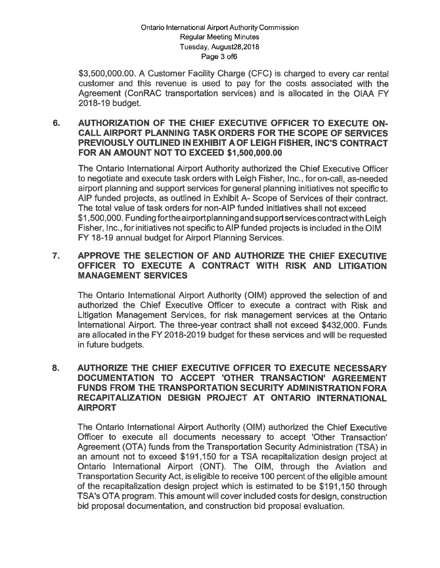#### Ontario International Airport Authority Commission Regular Meeting Minutes Tuesday, August28, 2018 Page 3 of6

\$3,500,000.00. A Customer Facility Charge (CFC) is charged to every car rental customer and this revenue is used to pay for the costs associated with the Agreement ( ConRAC transportation services) and is allocated in the OIAA FY 2018-19 budget.

#### AUTHORIZATION OF THE CHIEF EXECUTIVE OFFICER TO EXECUTE ON-6. CALL AIRPORT PLANNING TASK ORDERS FOR THE SCOPE OF SERVICES PREVIOUSLY OUTLINED IN EXHIBIT A OF LEIGH FISHER. INC'S CONTRACT FOR AN AMOUNT NOT TO EXCEED \$1,500,000.00

The Ontario International Airport Authority authorized the Chief Executive Officer to negotiate and execute task orders with Leigh Fisher, Inc., for on-call, as-needed airport planning and support services for general planning initiatives not specific to AIP funded projects, as outlined in Exhibit A-Scope of Services of their contract. The total value of task orders for non-AIP funded initiatives shall not exceed<br>\$1,500,000. Funding for the airport planning and support services contract with Leigh Fisher, Inc., for initiatives not specific to AIP funded projects is included inthe OIM FY 18-19 annual budget for Airport Planning Services.

#### APPROVE THE SELECTION OF AND AUTHORIZE THE CHIEF EXECUTIVE  $\mathbf{7}_{\cdot}$ OFFICER TO EXECUTE A CONTRACT WITH RISK AND LITIGATION MANAGEMENT SERVICES

The Ontario International Airport Authority (OIM) approved the selection of and authorized the Chief Executive Officer to execute a contract with Risk and Litigation Management Services, for risk management services at the Ontario International Airport. The three-vear contract shall not exceed \$432,000. Funds are allocated in the FY 2018-2019 budget for these services and will be requested in future budgets.

### 8. AUTHORIZE THE CHIEF EXECUTIVE OFFICER TO EXECUTE NECESSARY DOCUMENTATION TO ACCEPT ' OTHER TRANSACTION' AGREEMENT FUNDS FROM THE TRANSPORTATION SECURITY ADMINISTRATION FORA RECAPITALIZATION DESIGN PROJECT AT ONTARIO INTERNATIONAL AIRPORT

The Ontario International Airport Authority (OIM) authorized the Chief Executive Officer to execute all documents necessary to accept 'Other Transaction' Agreement (OTA) funds from the Transportation Security Administration (TSA) in an amount not to exceed \$191,150 for a TSA recapitalization design project at Ontario International Airport (ONT). The OIM, through the Aviation and Transportation Security Act, is eligible to receive 100 percent of the eligible amount of the recapitalization design project which is estimated to be \$191,150 through TSA's OTA program. This amount will cover included costs for design, construction bid proposal documentation, and construction bid proposal evaluation.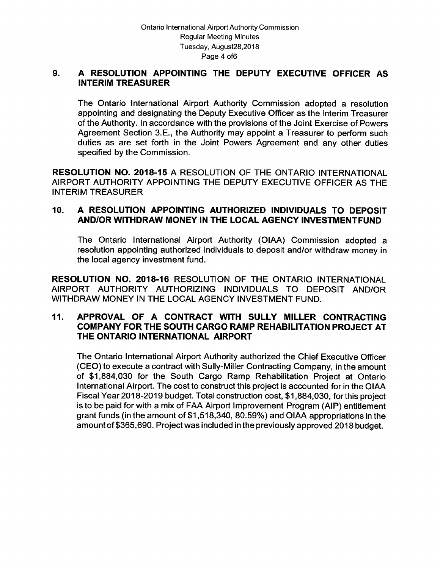### 9. A RESOLUTION APPOINTING THE DEPUTY EXECUTIVE OFFICER AS INTERIM TREASURER

The Ontario International Airport Authority Commission adopted a resolution appointing and designating the Deputy Executive Officer as the Interim Treasurer of the Authority. In accordance with the provisions of the Joint Exercise of Powers Agreement Section 3.E., the Authority may appoint a Treasurer to perform such duties as are set forth in the Joint Powers Agreement and any other duties specified by the Commission.

RESOLUTION NO. 2018-15 A RESOLUTION OF THE ONTARIO INTERNATIONAL AIRPORT AUTHORITY APPOINTING THE DEPUTY EXECUTIVE OFFICER AS THE INTERIM TREASURER

## 10. A RESOLUTION APPOINTING AUTHORIZED INDIVIDUALS TO DEPOSIT AND/OR WITHDRAW MONEY IN THE LOCAL AGENCY INVESTMENTFUND

The Ontario International Airport Authority ( OIAA) Commission adopted <sup>a</sup> resolution appointing authorized individuals to deposit and/or withdraw money in the local agency investment fund.

RESOLUTION NO. 2018-16 RESOLUTION OF THE ONTARIO INTERNATIONAL AIRPORT AUTHORITY AUTHORIZING INDIVIDUALS TO DEPOSIT AND/OR WITHDRAW MONEY IN THE LOCAL AGENCY INVESTMENT FUND.

### 11. APPROVAL OF A CONTRACT WITH SULLY MILLER CONTRACTING COMPANY FOR THE SOUTH CARGO RAMP REHABILITATION PROJECT AT THE ONTARIO INTERNATIONAL AIRPORT

The Ontario International Airport Authority authorized the Chief Executive Officer CEO) to execute a contract with Sully -Miller Contracting Company, in the amount of \$ 1, 884, 030 for the South Cargo Ramp Rehabilitation Project at Ontario International Airport. The cost to construct this project is accounted for in the OIAA Fiscal Year 2018-2019 budget. Total construction cost, \$1,884,030, for this project is to be paid for with a mix of FAA Airport Improvement Program ( AIP) entitlement grant funds ( in the amount of \$1, 518, 340, 80. 59%) and OIAA appropriations in the amount of \$365,690. Project was included in the previously approved 2018 budget.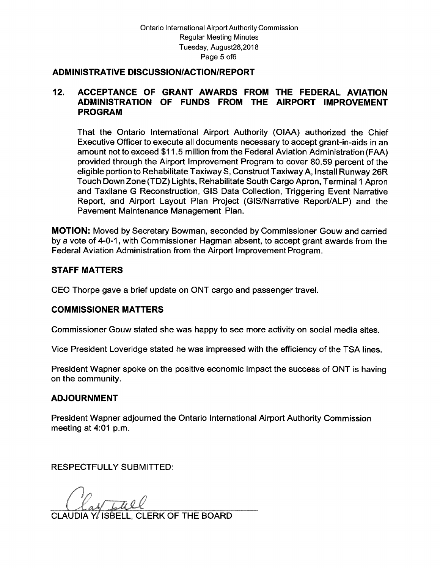#### ADMINISTRATIVE DISCUSSION/ACTION/REPORT

### 12. ACCEPTANCE OF GRANT AWARDS FROM THE FEDERAL AVIATION ADMINISTRATION OF FUNDS FROM THE AIRPORT IMPROVEMENT PROGRAM

That the Ontario International Airport Authority ( OIAA) authorized the Chief Executive Officer to execute all documents necessary to accept grant -in -aids in an amount not to exceed \$ 11. 5 million from the Federal Aviation Administration (FAA) provided through the Airport Improvement Program to cover 80. 59 percent of the eligible portion to Rehabilitate Taxiway S, Construct Taxiway A, Install Runway 26R Touch Down Zone (TDZ) Lights, Rehabilitate South Cargo Apron, Terminal <sup>1</sup> Apron and Taxilane G Reconstruction, GIS Data Collection, Triggering Event Narrative Report, and Airport Layout Plan Project (GIS/Narrative Report/ALP) and the Pavement Maintenance Management Plan.

MOTION: Moved by Secretary Bowman, seconded by Commissioner Gouw and carried by a vote of 4-0-1, with Commissioner Hagman absent, to accept grant awards from the Federal Aviation Administration from the Airport Improvement Program.

### STAFF MATTERS

CEO Thorpe gave a brief update on ONT cargo and passenger travel.

### COMMISSIONER MATTERS

Commissioner Gouw stated she was happy to see more activity on social media sites.

Vice President Loveridge stated he was impressed with the efficiency of the TSA lines.

President Wapner spoke on the positive economic impact the success of ONT is having on the community.

### ADJOURNMENT

President Wapner adjourned the Ontario International Airport Authority Commission meeting at 4:01 p.m.

RESPECTFULLY SUBMITTED:

CLAUDIA Y/ ISBELL, CLERK OF THE BOARD